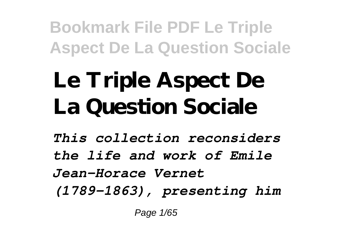# **Le Triple Aspect De La Question Sociale**

*This collection reconsiders the life and work of Emile Jean-Horace Vernet (1789-1863), presenting him*

Page 1/65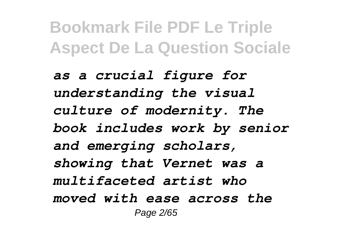*as a crucial figure for understanding the visual culture of modernity. The book includes work by senior and emerging scholars, showing that Vernet was a multifaceted artist who moved with ease across the* Page 2/65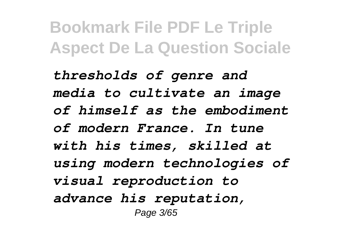*thresholds of genre and media to cultivate an image of himself as the embodiment of modern France. In tune with his times, skilled at using modern technologies of visual reproduction to advance his reputation,* Page 3/65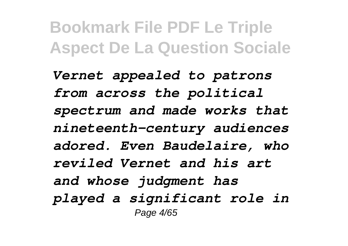*Vernet appealed to patrons from across the political spectrum and made works that nineteenth-century audiences adored. Even Baudelaire, who reviled Vernet and his art and whose judgment has played a significant role in* Page 4/65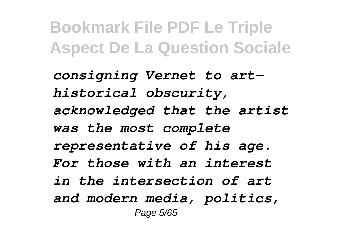*consigning Vernet to arthistorical obscurity, acknowledged that the artist was the most complete representative of his age. For those with an interest in the intersection of art and modern media, politics,* Page 5/65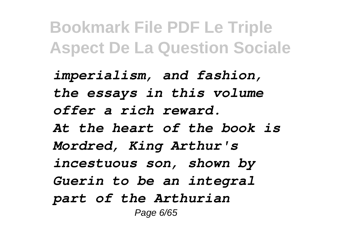*imperialism, and fashion, the essays in this volume offer a rich reward. At the heart of the book is Mordred, King Arthur's incestuous son, shown by Guerin to be an integral part of the Arthurian* Page 6/65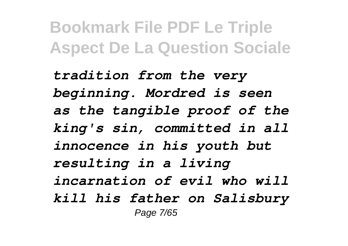*tradition from the very beginning. Mordred is seen as the tangible proof of the king's sin, committed in all innocence in his youth but resulting in a living incarnation of evil who will kill his father on Salisbury* Page 7/65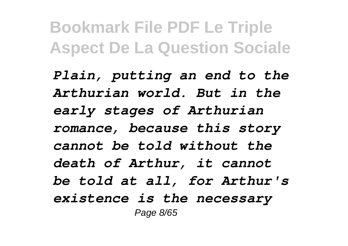*Plain, putting an end to the Arthurian world. But in the early stages of Arthurian romance, because this story cannot be told without the death of Arthur, it cannot be told at all, for Arthur's existence is the necessary* Page 8/65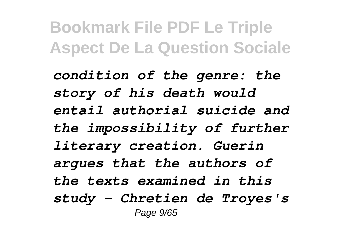*condition of the genre: the story of his death would entail authorial suicide and the impossibility of further literary creation. Guerin argues that the authors of the texts examined in this study - Chretien de Troyes's* Page 9/65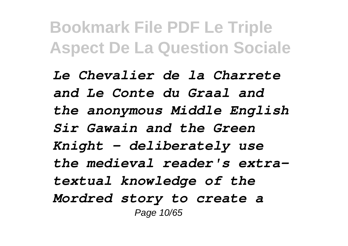*Le Chevalier de la Charrete and Le Conte du Graal and the anonymous Middle English Sir Gawain and the Green Knight - deliberately use the medieval reader's extratextual knowledge of the Mordred story to create a* Page 10/65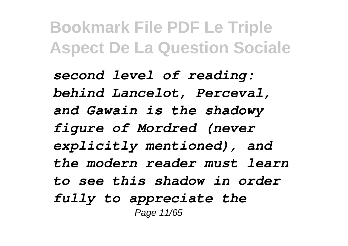*second level of reading: behind Lancelot, Perceval, and Gawain is the shadowy figure of Mordred (never explicitly mentioned), and the modern reader must learn to see this shadow in order fully to appreciate the* Page 11/65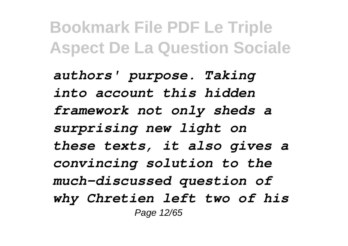*authors' purpose. Taking into account this hidden framework not only sheds a surprising new light on these texts, it also gives a convincing solution to the much-discussed question of why Chretien left two of his* Page 12/65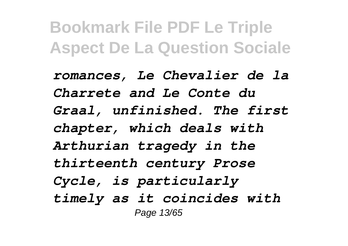*romances, Le Chevalier de la Charrete and Le Conte du Graal, unfinished. The first chapter, which deals with Arthurian tragedy in the thirteenth century Prose Cycle, is particularly timely as it coincides with* Page 13/65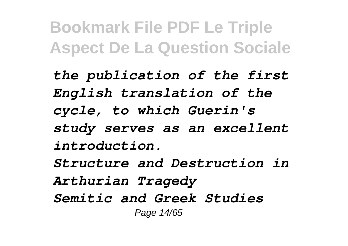*the publication of the first English translation of the cycle, to which Guerin's study serves as an excellent introduction.*

*Structure and Destruction in Arthurian Tragedy Semitic and Greek Studies* Page 14/65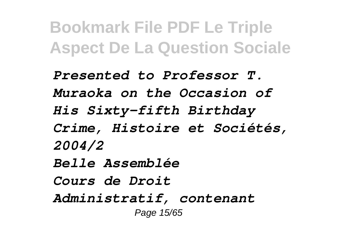*Presented to Professor T. Muraoka on the Occasion of His Sixty-fifth Birthday Crime, Histoire et Sociétés, 2004/2 Belle Assemblée Cours de Droit Administratif, contenant* Page 15/65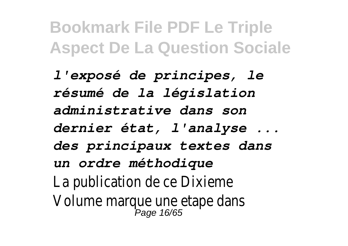*l'exposé de principes, le résumé de la législation administrative dans son dernier état, l'analyse ... des principaux textes dans un ordre méthodique* La publication de ce Dixieme Volume marque une etape dans<br>Page 16/65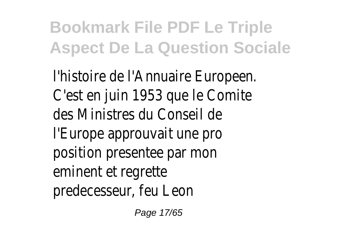l'histoire de l'Annuaire Europeen. C'est en juin 1953 que le Comite des Ministres du Conseil de l'Europe approuvait une pro position presentee par mon eminent et regrette predecesseur, feu Leon

Page 17/65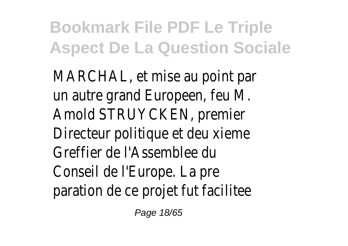MARCHAL, et mise au point par un autre grand Europeen, feu M. Amold STRUYCKEN, premier Directeur politique et deu xieme Greffier de l'Assemblee du Conseil de l'Europe. La pre paration de ce projet fut facilitee

Page 18/65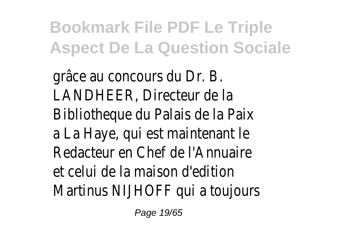grâce au concours du Dr. B. LANDHEER, Directeur de la Bibliotheque du Palais de la Paix a La Haye, qui est maintenant le Redacteur en Chef de l'Annuaire et celui de la maison d'edition Martinus NIJHOFF qui a toujours

Page 19/65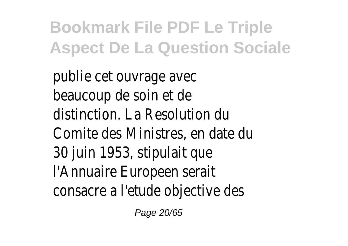publie cet ouvrage avec beaucoup de soin et de distinction. La Resolution du Comite des Ministres, en date du 30 juin 1953, stipulait que l'Annuaire Europeen serait consacre a l'etude objective des

Page 20/65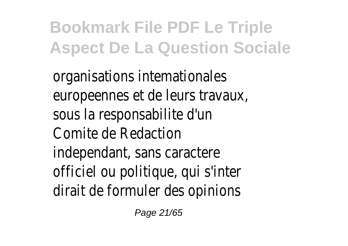organisations intemationales europeennes et de leurs travaux, sous la responsabilite d'un Comite de Redaction independant, sans caractere officiel ou politique, qui s'inter dirait de formuler des opinions

Page 21/65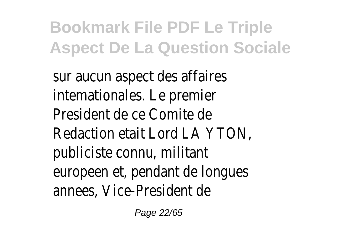sur aucun aspect des affaires intemationales. Le premier President de ce Comite de Redaction etait Lord LA YTON, publiciste connu, militant europeen et, pendant de longues annees, Vice-President de

Page 22/65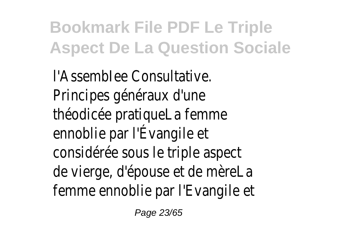l'AssembIee Consultative. Principes généraux d'une théodicée pratiqueLa femme ennoblie par l'Évangile et considérée sous le triple aspect de vierge, d'épouse et de mèreLa femme ennoblie par l'Evangile et

Page 23/65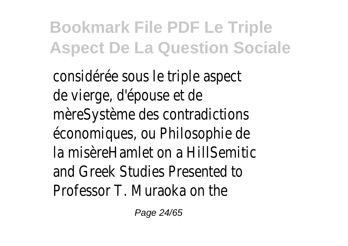considérée sous le triple aspect de vierge, d'épouse et de mèreSystème des contradictions économiques, ou Philosophie de la misèreHamlet on a HillSemitic and Greek Studies Presented to Professor T. Muraoka on the

Page 24/65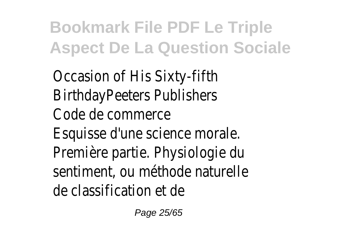Occasion of His Sixty-fifth BirthdayPeeters Publishers Code de commerce Esquisse d'une science morale. Première partie. Physiologie du sentiment, ou méthode naturelle de classification et de

Page 25/65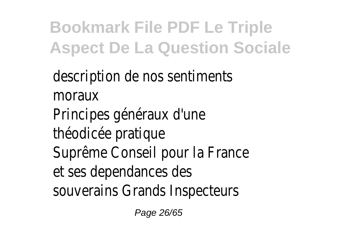description de nos sentiments moraux Principes généraux d'une théodicée pratique Suprême Conseil pour la France et ses dependances des souverains Grands Inspecteurs

Page 26/65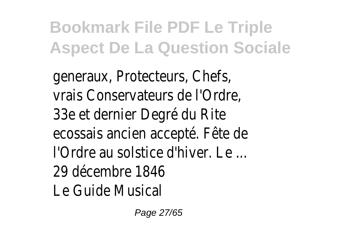generaux, Protecteurs, Chefs, vrais Conservateurs de l'Ordre, 33e et dernier Degré du Rite ecossais ancien accepté. Fête de l'Ordre au solstice d'hiver. Le ... 29 décembre 1846 Le Guide Musical

Page 27/65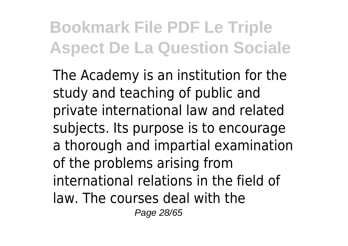The Academy is an institution for the study and teaching of public and private international law and related subjects. Its purpose is to encourage a thorough and impartial examination of the problems arising from international relations in the field of law. The courses deal with the Page 28/65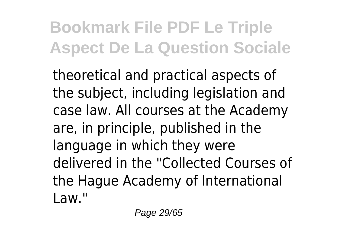theoretical and practical aspects of the subject, including legislation and case law. All courses at the Academy are, in principle, published in the language in which they were delivered in the "Collected Courses of the Hague Academy of International Law."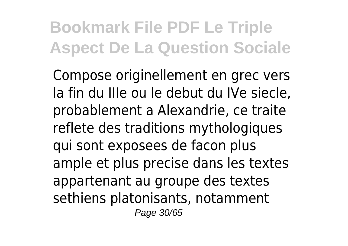Compose originellement en grec vers la fin du IIIe ou le debut du IVe siecle, probablement a Alexandrie, ce traite reflete des traditions mythologiques qui sont exposees de facon plus ample et plus precise dans les textes appartenant au groupe des textes sethiens platonisants, notamment Page 30/65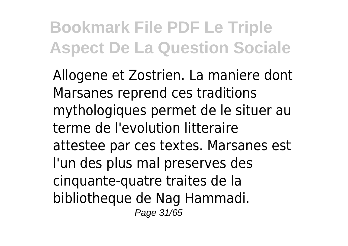Allogene et Zostrien. La maniere dont Marsanes reprend ces traditions mythologiques permet de le situer au terme de l'evolution litteraire attestee par ces textes. Marsanes est l'un des plus mal preserves des cinquante-quatre traites de la bibliotheque de Nag Hammadi. Page 31/65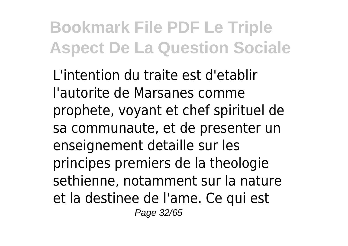L'intention du traite est d'etablir l'autorite de Marsanes comme prophete, voyant et chef spirituel de sa communaute, et de presenter un enseignement detaille sur les principes premiers de la theologie sethienne, notamment sur la nature et la destinee de l'ame. Ce qui est Page 32/65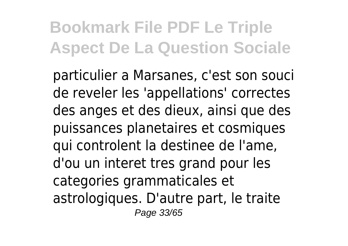particulier a Marsanes, c'est son souci de reveler les 'appellations' correctes des anges et des dieux, ainsi que des puissances planetaires et cosmiques qui controlent la destinee de l'ame, d'ou un interet tres grand pour les categories grammaticales et astrologiques. D'autre part, le traite Page 33/65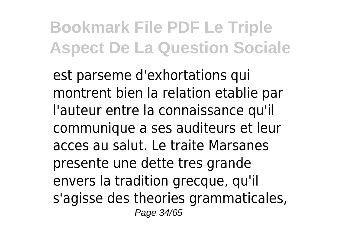est parseme d'exhortations qui montrent bien la relation etablie par l'auteur entre la connaissance qu'il communique a ses auditeurs et leur acces au salut. Le traite Marsanes presente une dette tres grande envers la tradition grecque, qu'il s'agisse des theories grammaticales, Page 34/65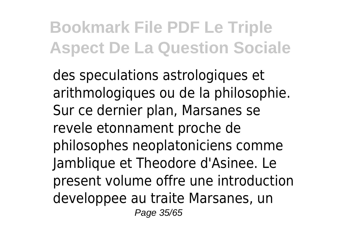des speculations astrologiques et arithmologiques ou de la philosophie. Sur ce dernier plan, Marsanes se revele etonnament proche de philosophes neoplatoniciens comme Jamblique et Theodore d'Asinee. Le present volume offre une introduction developpee au traite Marsanes, un Page 35/65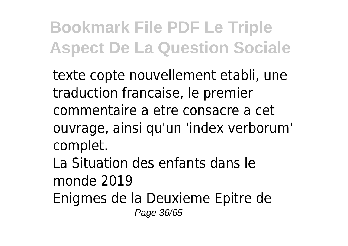texte copte nouvellement etabli, une traduction francaise, le premier commentaire a etre consacre a cet ouvrage, ainsi qu'un 'index verborum' complet.

La Situation des enfants dans le monde 2019

Enigmes de la Deuxieme Epitre de

Page 36/65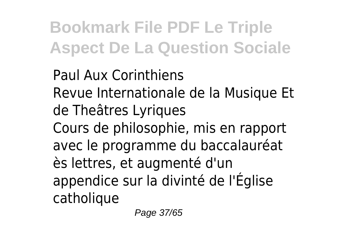Paul Aux Corinthiens Revue Internationale de la Musique Et de Theâtres Lyriques Cours de philosophie, mis en rapport avec le programme du baccalauréat ès lettres, et augmenté d'un appendice sur la divinté de l'Église catholique

Page 37/65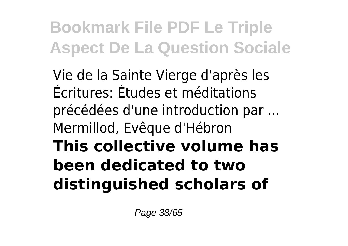Vie de la Sainte Vierge d'après les Écritures: Études et méditations précédées d'une introduction par ... Mermillod, Evêque d'Hébron **This collective volume has been dedicated to two distinguished scholars of**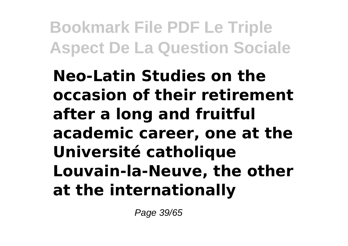**Neo-Latin Studies on the occasion of their retirement after a long and fruitful academic career, one at the Université catholique Louvain-la-Neuve, the other at the internationally**

Page 39/65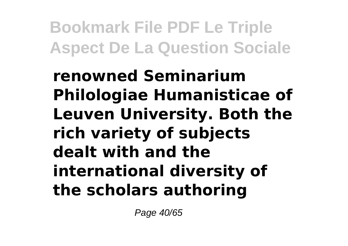**renowned Seminarium Philologiae Humanisticae of Leuven University. Both the rich variety of subjects dealt with and the international diversity of the scholars authoring**

Page 40/65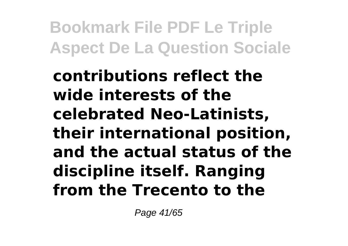**contributions reflect the wide interests of the celebrated Neo-Latinists, their international position, and the actual status of the discipline itself. Ranging from the Trecento to the**

Page 41/65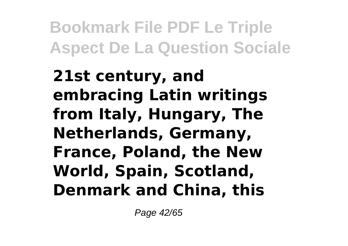**21st century, and embracing Latin writings from Italy, Hungary, The Netherlands, Germany, France, Poland, the New World, Spain, Scotland, Denmark and China, this**

Page 42/65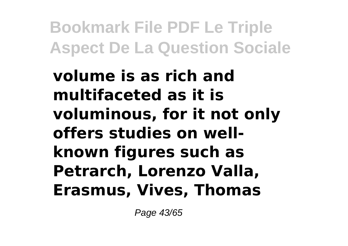**volume is as rich and multifaceted as it is voluminous, for it not only offers studies on wellknown figures such as Petrarch, Lorenzo Valla, Erasmus, Vives, Thomas**

Page 43/65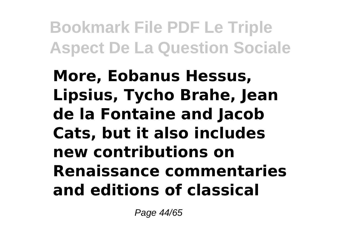**More, Eobanus Hessus, Lipsius, Tycho Brahe, Jean de la Fontaine and Jacob Cats, but it also includes new contributions on Renaissance commentaries and editions of classical**

Page 44/65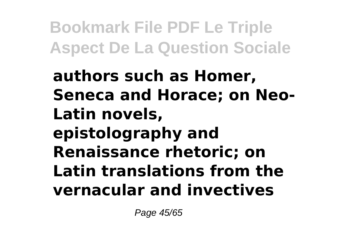**authors such as Homer, Seneca and Horace; on Neo-Latin novels, epistolography and Renaissance rhetoric; on Latin translations from the vernacular and invectives**

Page 45/65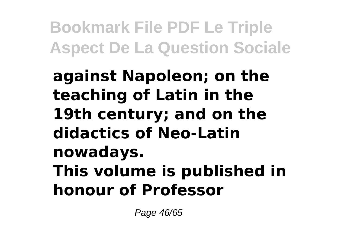**against Napoleon; on the teaching of Latin in the 19th century; and on the didactics of Neo-Latin nowadays. This volume is published in honour of Professor**

Page 46/65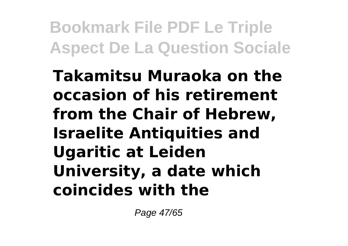**Takamitsu Muraoka on the occasion of his retirement from the Chair of Hebrew, Israelite Antiquities and Ugaritic at Leiden University, a date which coincides with the**

Page 47/65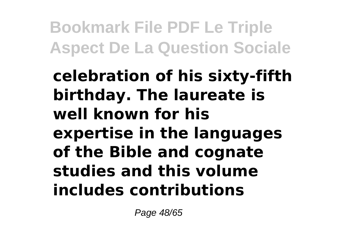**celebration of his sixty-fifth birthday. The laureate is well known for his expertise in the languages of the Bible and cognate studies and this volume includes contributions**

Page 48/65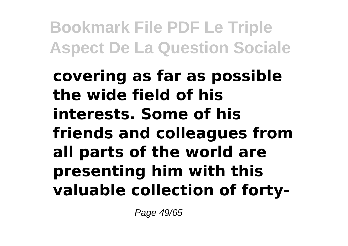**covering as far as possible the wide field of his interests. Some of his friends and colleagues from all parts of the world are presenting him with this valuable collection of forty-**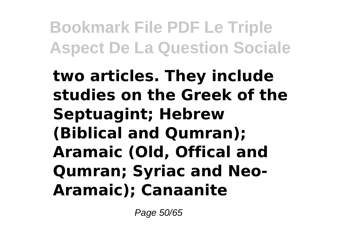**two articles. They include studies on the Greek of the Septuagint; Hebrew (Biblical and Qumran); Aramaic (Old, Offical and Qumran; Syriac and Neo-Aramaic); Canaanite**

Page 50/65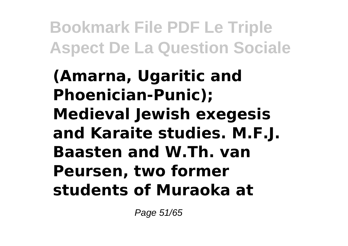**(Amarna, Ugaritic and Phoenician-Punic); Medieval Jewish exegesis and Karaite studies. M.F.J. Baasten and W.Th. van Peursen, two former students of Muraoka at**

Page 51/65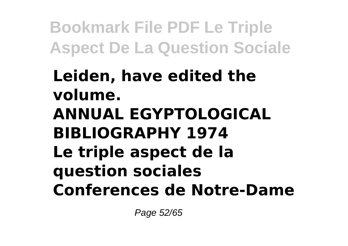#### **Leiden, have edited the volume. ANNUAL EGYPTOLOGICAL BIBLIOGRAPHY 1974 Le triple aspect de la question sociales Conferences de Notre-Dame**

Page 52/65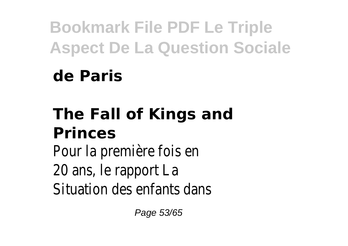### **de Paris**

### **The Fall of Kings and Princes**

Pour la première fois en 20 ans, le rapport La Situation des enfants dans

Page 53/65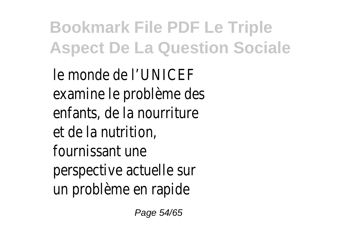le monde de l'UNICEF examine le problème des enfants, de la nourriture et de la nutrition, fournissant une perspective actuelle sur un problème en rapide

Page 54/65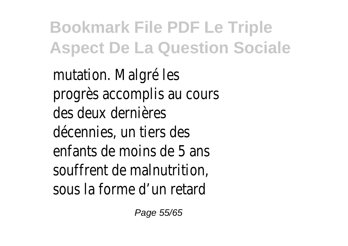mutation. Malgré les progrès accomplis au cours des deux dernières décennies, un tiers des enfants de moins de 5 ans souffrent de malnutrition, sous la forme d'un retard

Page 55/65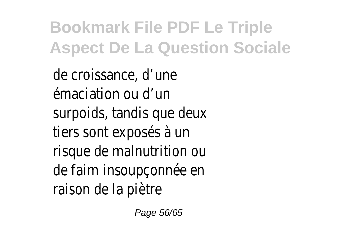de croissance, d'une émaciation ou d'un surpoids, tandis que deux tiers sont exposés à un risque de malnutrition ou de faim insoupçonnée en raison de la piètre

Page 56/65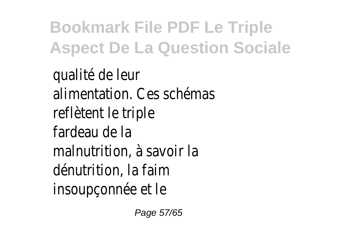qualité de leur alimentation. Ces schémas reflètent le triple fardeau de la malnutrition, à savoir la dénutrition, la faim insoupçonnée et le

Page 57/65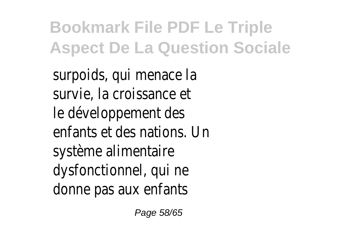surpoids, qui menace la survie, la croissance et le développement des enfants et des nations. Un système alimentaire dysfonctionnel, qui ne donne pas aux enfants

Page 58/65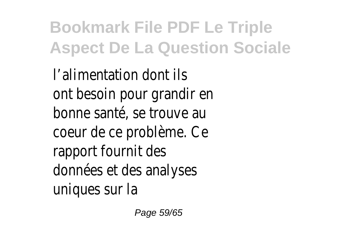l'alimentation dont ils ont besoin pour grandir en bonne santé, se trouve au coeur de ce problème. Ce rapport fournit des données et des analyses uniques sur la

Page 59/65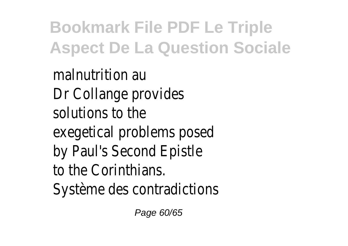malnutrition au Dr Collange provides solutions to the exegetical problems posed by Paul's Second Epistle to the Corinthians. Système des contradictions

Page 60/65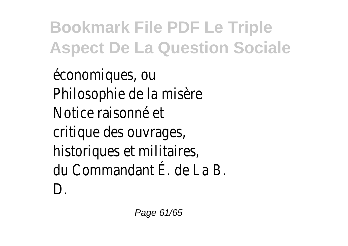économiques, ou Philosophie de la misère Notice raisonné et critique des ouvrages, historiques et militaires, du Commandant É. de La B. D.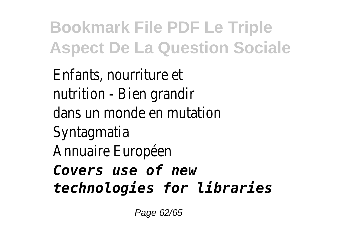Enfants, nourriture et nutrition - Bien grandir dans un monde en mutation Syntagmatia Annuaire Européen *Covers use of new technologies for libraries*

Page 62/65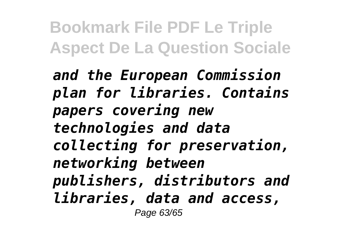*and the European Commission plan for libraries. Contains papers covering new technologies and data collecting for preservation, networking between publishers, distributors and libraries, data and access,* Page 63/65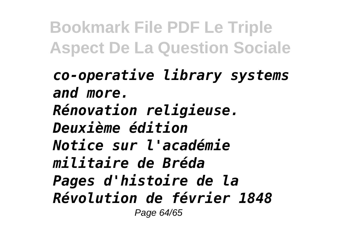*co-operative library systems and more. Rénovation religieuse. Deuxième édition Notice sur l'académie militaire de Bréda Pages d'histoire de la Révolution de février 1848* Page 64/65